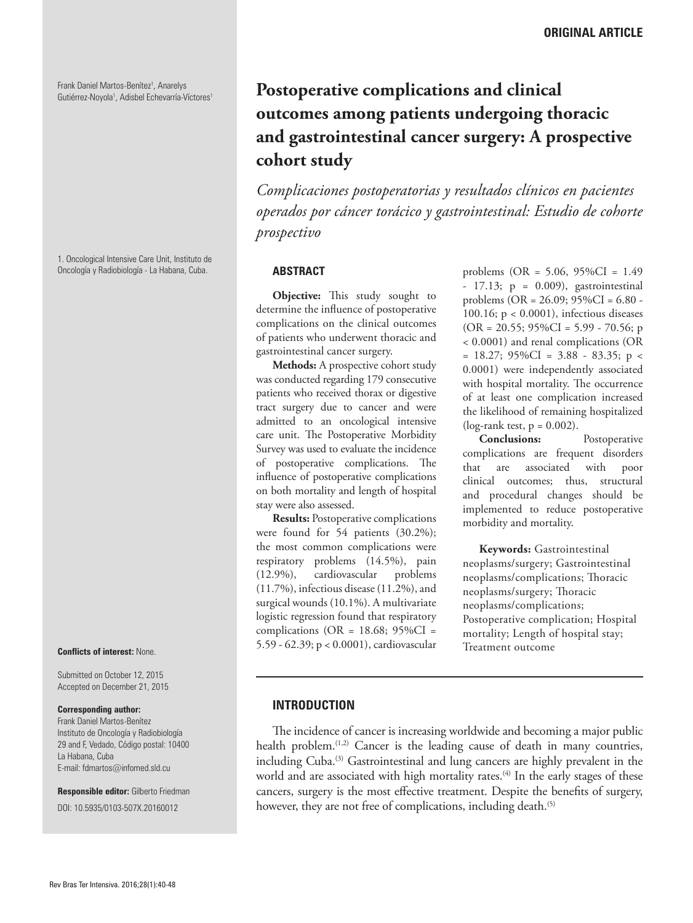Frank Daniel Martos-Benítez<sup>1</sup>, Anarelys Gutiérrez-Noyola<sup>1</sup>, Adisbel Echevarría-Víctores<sup>1</sup>

1. Oncological Intensive Care Unit, Instituto de Oncología y Radiobiología - La Habana, Cuba.

Submitted on October 12, 2015 Accepted on December 21, 2015

#### **Corresponding author:**

Frank Daniel Martos-Benítez Instituto de Oncología y Radiobiología 29 and F, Vedado, Código postal: 10400 La Habana, Cuba E-mail: fdmartos@infomed.sld.cu

**Responsible editor:** Gilberto Friedman DOI: 10.5935/0103-507X.20160012

# **Postoperative complications and clinical outcomes among patients undergoing thoracic and gastrointestinal cancer surgery: A prospective cohort study**

*Complicaciones postoperatorias y resultados clínicos en pacientes operados por cáncer torácico y gastrointestinal: Estudio de cohorte prospectivo*

#### **ABSTRACT**

**Objective:** This study sought to determine the influence of postoperative complications on the clinical outcomes of patients who underwent thoracic and gastrointestinal cancer surgery.

**Methods:** A prospective cohort study was conducted regarding 179 consecutive patients who received thorax or digestive tract surgery due to cancer and were admitted to an oncological intensive care unit. The Postoperative Morbidity Survey was used to evaluate the incidence of postoperative complications. The influence of postoperative complications on both mortality and length of hospital stay were also assessed.

**Results:** Postoperative complications were found for 54 patients (30.2%); the most common complications were respiratory problems (14.5%), pain (12.9%), cardiovascular problems (11.7%), infectious disease (11.2%), and surgical wounds (10.1%). A multivariate logistic regression found that respiratory complications ( $OR = 18.68$ ; 95% $CI =$ 5.59 - 62.39; p < 0.0001), cardiovascular **Conflicts of interest:** None.

problems (OR = 5.06, 95%CI = 1.49  $- 17.13$ ;  $p = 0.009$ ), gastrointestinal problems (OR = 26.09; 95%CI = 6.80 - 100.16; p < 0.0001), infectious diseases  $(OR = 20.55; 95\%CI = 5.99 - 70.56; p)$ < 0.0001) and renal complications (OR  $= 18.27$ ; 95%CI  $= 3.88 - 83.35$ ; p < 0.0001) were independently associated with hospital mortality. The occurrence of at least one complication increased the likelihood of remaining hospitalized (log-rank test,  $p = 0.002$ ).

**Conclusions:** Postoperative complications are frequent disorders that are associated with poor clinical outcomes; thus, structural and procedural changes should be implemented to reduce postoperative morbidity and mortality.

**Keywords:** Gastrointestinal neoplasms/surgery; Gastrointestinal neoplasms/complications; Thoracic neoplasms/surgery; Thoracic neoplasms/complications; Postoperative complication; Hospital mortality; Length of hospital stay; Treatment outcome

# **INTRODUCTION**

The incidence of cancer is increasing worldwide and becoming a major public health problem.<sup>(1,2)</sup> Cancer is the leading cause of death in many countries, including Cuba.<sup>(3)</sup> Gastrointestinal and lung cancers are highly prevalent in the world and are associated with high mortality rates.<sup>(4)</sup> In the early stages of these cancers, surgery is the most effective treatment. Despite the benefits of surgery, however, they are not free of complications, including death.<sup>(5)</sup>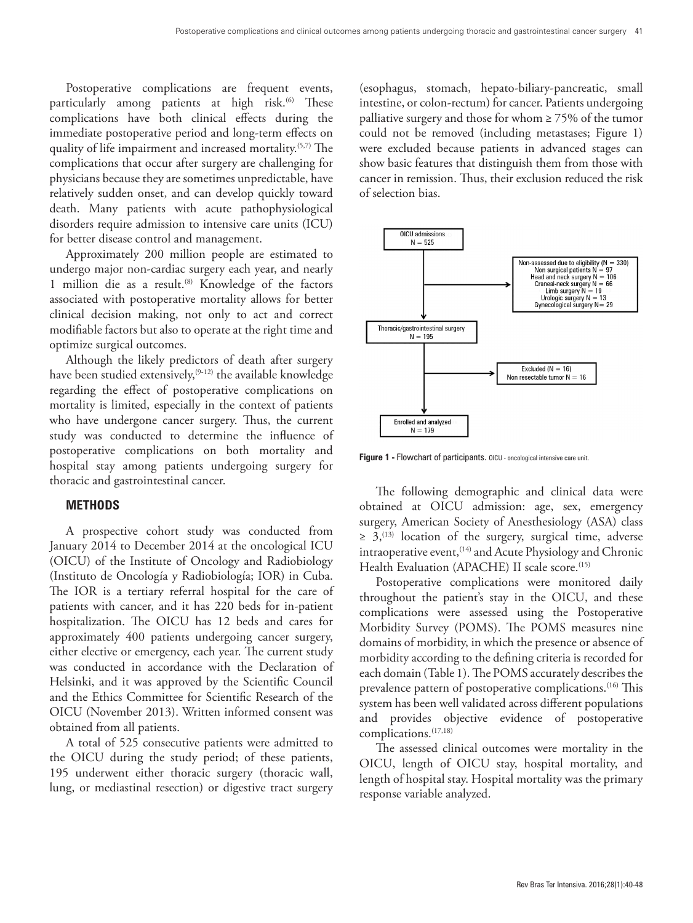Postoperative complications are frequent events, particularly among patients at high risk.<sup>(6)</sup> These complications have both clinical effects during the immediate postoperative period and long-term effects on quality of life impairment and increased mortality.(5,7) The complications that occur after surgery are challenging for physicians because they are sometimes unpredictable, have relatively sudden onset, and can develop quickly toward death. Many patients with acute pathophysiological disorders require admission to intensive care units (ICU) for better disease control and management.

Approximately 200 million people are estimated to undergo major non-cardiac surgery each year, and nearly 1 million die as a result.<sup>(8)</sup> Knowledge of the factors associated with postoperative mortality allows for better clinical decision making, not only to act and correct modifiable factors but also to operate at the right time and optimize surgical outcomes.

Although the likely predictors of death after surgery have been studied extensively,<sup>(9-12)</sup> the available knowledge regarding the effect of postoperative complications on mortality is limited, especially in the context of patients who have undergone cancer surgery. Thus, the current study was conducted to determine the influence of postoperative complications on both mortality and hospital stay among patients undergoing surgery for thoracic and gastrointestinal cancer.

# **METHODS**

A prospective cohort study was conducted from January 2014 to December 2014 at the oncological ICU (OICU) of the Institute of Oncology and Radiobiology (Instituto de Oncología y Radiobiología; IOR) in Cuba. The IOR is a tertiary referral hospital for the care of patients with cancer, and it has 220 beds for in-patient hospitalization. The OICU has 12 beds and cares for approximately 400 patients undergoing cancer surgery, either elective or emergency, each year. The current study was conducted in accordance with the Declaration of Helsinki, and it was approved by the Scientific Council and the Ethics Committee for Scientific Research of the OICU (November 2013). Written informed consent was obtained from all patients.

A total of 525 consecutive patients were admitted to the OICU during the study period; of these patients, 195 underwent either thoracic surgery (thoracic wall, lung, or mediastinal resection) or digestive tract surgery

(esophagus, stomach, hepato-biliary-pancreatic, small intestine, or colon-rectum) for cancer. Patients undergoing palliative surgery and those for whom  $\geq$  75% of the tumor could not be removed (including metastases; Figure 1) were excluded because patients in advanced stages can show basic features that distinguish them from those with cancer in remission. Thus, their exclusion reduced the risk of selection bias.



**Figure 1 - Flowchart of participants. OICU - oncological intensive care unit.** 

The following demographic and clinical data were obtained at OICU admission: age, sex, emergency surgery, American Society of Anesthesiology (ASA) class  $\geq$  3,<sup>(13)</sup> location of the surgery, surgical time, adverse intraoperative event,  $(14)$  and Acute Physiology and Chronic Health Evaluation (APACHE) II scale score.<sup>(15)</sup>

Postoperative complications were monitored daily throughout the patient's stay in the OICU, and these complications were assessed using the Postoperative Morbidity Survey (POMS). The POMS measures nine domains of morbidity, in which the presence or absence of morbidity according to the defining criteria is recorded for each domain (Table 1). The POMS accurately describes the prevalence pattern of postoperative complications.<sup>(16)</sup> This system has been well validated across different populations and provides objective evidence of postoperative complications.(17,18)

The assessed clinical outcomes were mortality in the OICU, length of OICU stay, hospital mortality, and length of hospital stay. Hospital mortality was the primary response variable analyzed.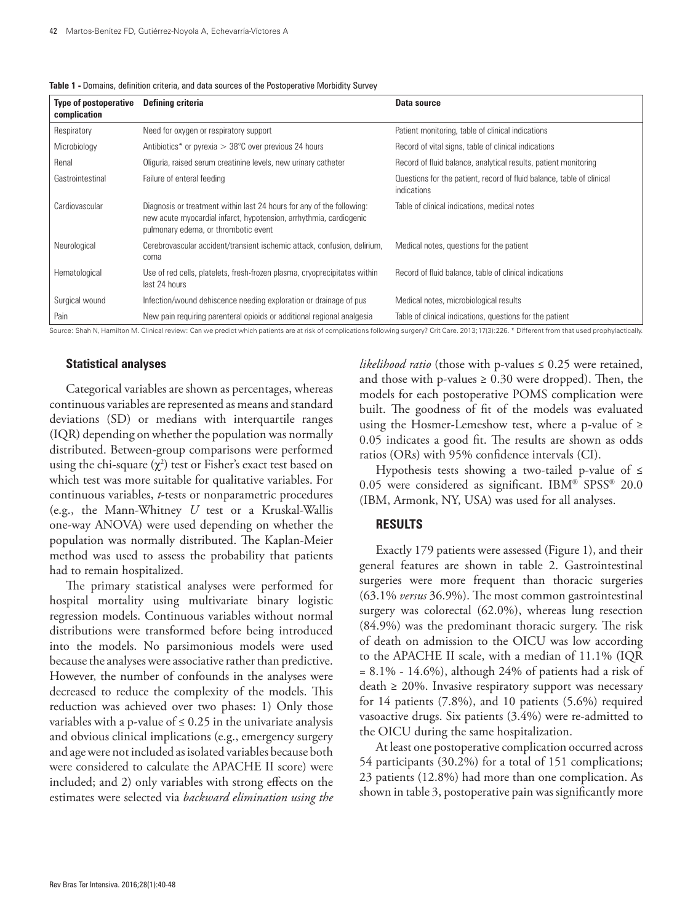| <b>Type of postoperative</b><br>complication | Defining criteria                                                                                                                                                                   | Data source                                                                          |
|----------------------------------------------|-------------------------------------------------------------------------------------------------------------------------------------------------------------------------------------|--------------------------------------------------------------------------------------|
| Respiratory                                  | Need for oxygen or respiratory support                                                                                                                                              | Patient monitoring, table of clinical indications                                    |
| Microbiology                                 | Antibiotics* or pyrexia $>$ 38 $\degree$ C over previous 24 hours                                                                                                                   | Record of vital signs, table of clinical indications                                 |
| Renal                                        | Oliguria, raised serum creatinine levels, new urinary catheter                                                                                                                      | Record of fluid balance, analytical results, patient monitoring                      |
| Gastrointestinal                             | Failure of enteral feeding                                                                                                                                                          | Questions for the patient, record of fluid balance, table of clinical<br>indications |
| Cardiovascular                               | Diagnosis or treatment within last 24 hours for any of the following:<br>new acute myocardial infarct, hypotension, arrhythmia, cardiogenic<br>pulmonary edema, or thrombotic event | Table of clinical indications, medical notes                                         |
| Neurological                                 | Cerebrovascular accident/transient ischemic attack, confusion, delirium,<br>coma                                                                                                    | Medical notes, questions for the patient                                             |
| Hematological                                | Use of red cells, platelets, fresh-frozen plasma, cryoprecipitates within<br>last 24 hours                                                                                          | Record of fluid balance, table of clinical indications                               |
| Surgical wound                               | Infection/wound dehiscence needing exploration or drainage of pus                                                                                                                   | Medical notes, microbiological results                                               |
| Pain                                         | New pain requiring parenteral opioids or additional regional analgesia                                                                                                              | Table of clinical indications, questions for the patient                             |

**Table 1 -** Domains, definition criteria, and data sources of the Postoperative Morbidity Survey

#### **Statistical analyses**

Categorical variables are shown as percentages, whereas continuous variables are represented as means and standard deviations (SD) or medians with interquartile ranges (IQR) depending on whether the population was normally distributed. Between-group comparisons were performed using the chi-square  $(\chi^2)$  test or Fisher's exact test based on which test was more suitable for qualitative variables. For continuous variables, *t*-tests or nonparametric procedures (e.g., the Mann-Whitney *U* test or a Kruskal-Wallis one-way ANOVA) were used depending on whether the population was normally distributed. The Kaplan-Meier method was used to assess the probability that patients had to remain hospitalized.

The primary statistical analyses were performed for hospital mortality using multivariate binary logistic regression models. Continuous variables without normal distributions were transformed before being introduced into the models. No parsimonious models were used because the analyses were associative rather than predictive. However, the number of confounds in the analyses were decreased to reduce the complexity of the models. This reduction was achieved over two phases: 1) Only those variables with a p-value of  $\leq 0.25$  in the univariate analysis and obvious clinical implications (e.g., emergency surgery and age were not included as isolated variables because both were considered to calculate the APACHE II score) were included; and 2) only variables with strong effects on the estimates were selected via *backward elimination using the* 

*likelihood ratio* (those with p-values  $\leq 0.25$  were retained, and those with p-values  $\geq 0.30$  were dropped). Then, the models for each postoperative POMS complication were built. The goodness of fit of the models was evaluated using the Hosmer-Lemeshow test, where a p-value of  $\geq$ 0.05 indicates a good fit. The results are shown as odds ratios (ORs) with 95% confidence intervals (CI).

Hypothesis tests showing a two-tailed p-value of  $\leq$ 0.05 were considered as significant. IBM® SPSS® 20.0 (IBM, Armonk, NY, USA) was used for all analyses.

### **RESULTS**

Exactly 179 patients were assessed (Figure 1), and their general features are shown in table 2. Gastrointestinal surgeries were more frequent than thoracic surgeries (63.1% *versus* 36.9%). The most common gastrointestinal surgery was colorectal (62.0%), whereas lung resection (84.9%) was the predominant thoracic surgery. The risk of death on admission to the OICU was low according to the APACHE II scale, with a median of 11.1% (IQR = 8.1% - 14.6%), although 24% of patients had a risk of death ≥ 20%. Invasive respiratory support was necessary for 14 patients (7.8%), and 10 patients (5.6%) required vasoactive drugs. Six patients (3.4%) were re-admitted to the OICU during the same hospitalization.

At least one postoperative complication occurred across 54 participants (30.2%) for a total of 151 complications; 23 patients (12.8%) had more than one complication. As shown in table 3, postoperative pain was significantly more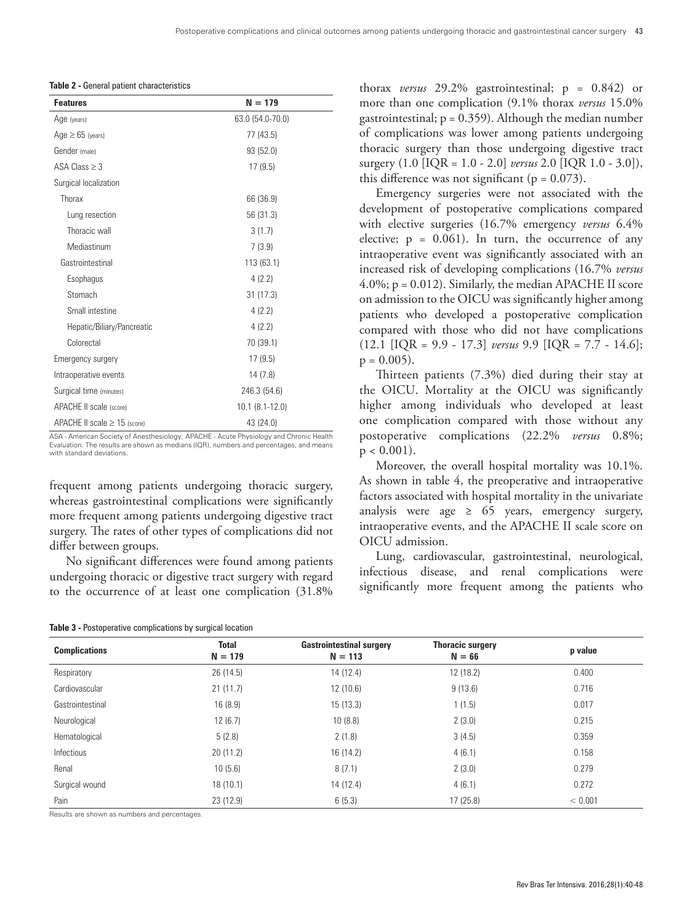**Table 2 -** General patient characteristics

| <b>Features</b>                   | $N = 179$           |
|-----------------------------------|---------------------|
| Age (years)                       | 63.0 (54.0-70.0)    |
| $Age \geq 65$ (years)             | 77 (43.5)           |
| Gender (male)                     | 93 (52.0)           |
| ASA Class $\geq$ 3                | 17(9.5)             |
| Surgical localization             |                     |
| Thorax                            | 66 (36.9)           |
| Lung resection                    | 56 (31.3)           |
| Thoracic wall                     | 3(1.7)              |
| Mediastinum                       | 7(3.9)              |
| Gastrointestinal                  | 113 (63.1)          |
| Esophagus                         | 4(2.2)              |
| Stomach                           | 31(17.3)            |
| Small intestine                   | 4 (2.2)             |
| Hepatic/Biliary/Pancreatic        | 4(2.2)              |
| Colorectal                        | 70 (39.1)           |
| Emergency surgery                 | 17(9.5)             |
| Intraoperative events             | 14 (7.8)            |
| Surgical time (minutes)           | 246.3 (54.6)        |
| APACHE II scale (score)           | $10.1 (8.1 - 12.0)$ |
| APACHE II scale $\geq$ 15 (score) | 43 (24.0)           |

ASA - American Society of Anesthesiology; APACHE - Acute Physiology and Chronic Health Evaluation. The results are shown as medians (IQR), numbers and percentages, and means with standard deviations.

frequent among patients undergoing thoracic surgery, whereas gastrointestinal complications were significantly more frequent among patients undergoing digestive tract surgery. The rates of other types of complications did not differ between groups.

No significant differences were found among patients undergoing thoracic or digestive tract surgery with regard to the occurrence of at least one complication (31.8%

thorax *versus* 29.2% gastrointestinal; p = 0.842) or more than one complication (9.1% thorax *versus* 15.0% gastrointestinal;  $p = 0.359$ ). Although the median number of complications was lower among patients undergoing thoracic surgery than those undergoing digestive tract surgery (1.0 [IQR = 1.0 - 2.0] *versus* 2.0 [IQR 1.0 - 3.0]), this difference was not significant ( $p = 0.073$ ).

Emergency surgeries were not associated with the development of postoperative complications compared with elective surgeries (16.7% emergency *versus* 6.4% elective;  $p = 0.061$ . In turn, the occurrence of any intraoperative event was significantly associated with an increased risk of developing complications (16.7% *versus* 4.0%; p = 0.012). Similarly, the median APACHE II score on admission to the OICU was significantly higher among patients who developed a postoperative complication compared with those who did not have complications (12.1 [IQR = 9.9 - 17.3] *versus* 9.9 [IQR = 7.7 - 14.6];  $p = 0.005$ ).

Thirteen patients (7.3%) died during their stay at the OICU. Mortality at the OICU was significantly higher among individuals who developed at least one complication compared with those without any postoperative complications (22.2% *versus* 0.8%;  $p < 0.001$ ).

Moreover, the overall hospital mortality was 10.1%. As shown in table 4, the preoperative and intraoperative factors associated with hospital mortality in the univariate analysis were age  $\geq 65$  years, emergency surgery, intraoperative events, and the APACHE II scale score on OICU admission.

Lung, cardiovascular, gastrointestinal, neurological, infectious disease, and renal complications were significantly more frequent among the patients who

| <b>Complications</b> | <b>Total</b><br>$N = 179$ | <b>Gastrointestinal surgery</b><br>$N = 113$ | <b>Thoracic surgery</b><br>$N = 66$ | p value |
|----------------------|---------------------------|----------------------------------------------|-------------------------------------|---------|
| Respiratory          | 26 (14.5)                 | 14(12.4)                                     | 12 (18.2)                           | 0.400   |
| Cardiovascular       | 21(11.7)                  | 12(10.6)                                     | 9(13.6)                             | 0.716   |
| Gastrointestinal     | 16(8.9)                   | 15(13.3)                                     | 1(1.5)                              | 0.017   |
| Neurological         | 12(6.7)                   | 10(8.8)                                      | 2(3.0)                              | 0.215   |
| Hematological        | 5(2.8)                    | 2(1.8)                                       | 3(4.5)                              | 0.359   |
| Infectious           | 20(11.2)                  | 16(14.2)                                     | 4(6.1)                              | 0.158   |
| Renal                | 10(5.6)                   | 8(7.1)                                       | 2(3.0)                              | 0.279   |
| Surgical wound       | 18(10.1)                  | 14 (12.4)                                    | 4(6.1)                              | 0.272   |
| Pain                 | 23 (12.9)                 | 6(5.3)                                       | 17(25.8)                            | < 0.001 |

Results are shown as numbers and percentages.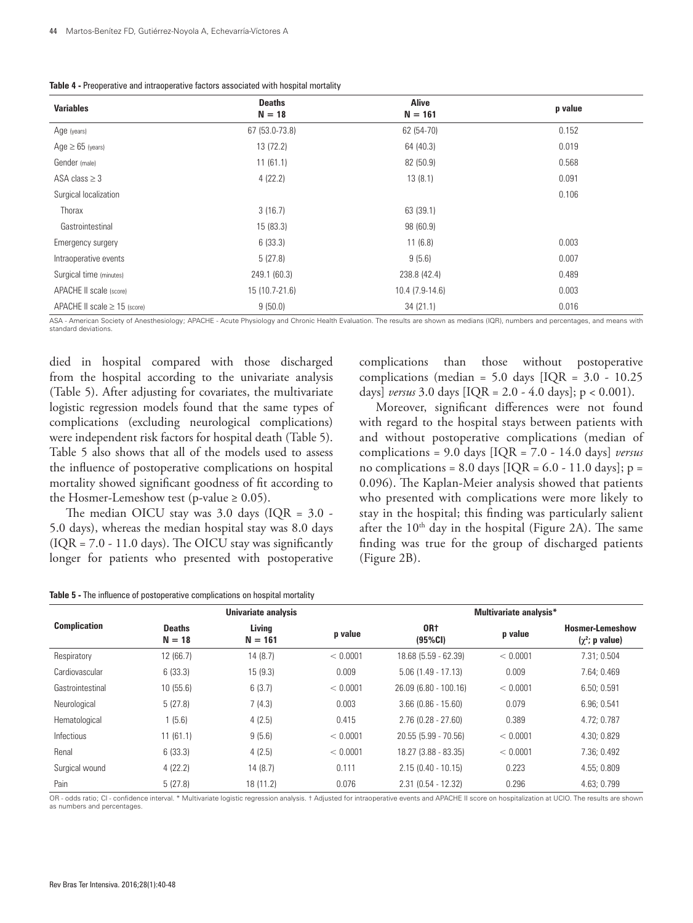|  | <b>Table 4 - Preoperative and intraoperative factors associated with hospital mortality</b> |  |  |  |
|--|---------------------------------------------------------------------------------------------|--|--|--|
|--|---------------------------------------------------------------------------------------------|--|--|--|

| <b>Variables</b>                  | <b>Deaths</b><br>$N = 18$ | <b>Alive</b><br>$N = 161$ | p value |
|-----------------------------------|---------------------------|---------------------------|---------|
| Age (years)                       | 67 (53.0-73.8)            | 62 (54-70)                | 0.152   |
| $Age \geq 65$ (years)             | 13 (72.2)                 | 64 (40.3)                 | 0.019   |
| Gender (male)                     | 11(61.1)                  | 82 (50.9)                 | 0.568   |
| ASA class $\geq$ 3                | 4(22.2)                   | 13(8.1)                   | 0.091   |
| Surgical localization             |                           |                           | 0.106   |
| Thorax                            | 3(16.7)                   | 63 (39.1)                 |         |
| Gastrointestinal                  | 15(83.3)                  | 98 (60.9)                 |         |
| Emergency surgery                 | 6(33.3)                   | 11(6.8)                   | 0.003   |
| Intraoperative events             | 5(27.8)                   | 9(5.6)                    | 0.007   |
| Surgical time (minutes)           | 249.1 (60.3)              | 238.8 (42.4)              | 0.489   |
| APACHE II scale (score)           | 15 (10.7-21.6)            | $10.4(7.9-14.6)$          | 0.003   |
| APACHE II scale $\geq$ 15 (score) | 9(50.0)                   | 34(21.1)                  | 0.016   |

ASA - American Society of Anesthesiology; APACHE - Acute Physiology and Chronic Health Evaluation. The results are shown as medians (IQR), numbers and percentages, and means with standard deviations.

died in hospital compared with those discharged from the hospital according to the univariate analysis (Table 5). After adjusting for covariates, the multivariate logistic regression models found that the same types of complications (excluding neurological complications) were independent risk factors for hospital death (Table 5). Table 5 also shows that all of the models used to assess the influence of postoperative complications on hospital mortality showed significant goodness of fit according to the Hosmer-Lemeshow test (p-value  $\geq 0.05$ ).

The median OICU stay was 3.0 days (IQR = 3.0 - 5.0 days), whereas the median hospital stay was 8.0 days  $(IQR = 7.0 - 11.0 \text{ days})$ . The OICU stay was significantly longer for patients who presented with postoperative complications than those without postoperative complications (median =  $5.0$  days [IQR =  $3.0 - 10.25$ ] days] *versus* 3.0 days [IQR = 2.0 - 4.0 days]; p < 0.001).

Moreover, significant differences were not found with regard to the hospital stays between patients with and without postoperative complications (median of complications = 9.0 days [IQR = 7.0 - 14.0 days] *versus* no complications =  $8.0$  days [IQR =  $6.0$  -  $11.0$  days]; p = 0.096). The Kaplan-Meier analysis showed that patients who presented with complications were more likely to stay in the hospital; this finding was particularly salient after the  $10<sup>th</sup>$  day in the hospital (Figure 2A). The same finding was true for the group of discharged patients (Figure 2B).

**Table 5 -** The influence of postoperative complications on hospital mortality

|                     | Univariate analysis       |                     |          | Multivariate analysis*  |          |                                                 |
|---------------------|---------------------------|---------------------|----------|-------------------------|----------|-------------------------------------------------|
| <b>Complication</b> | <b>Deaths</b><br>$N = 18$ | Living<br>$N = 161$ | p value  | <b>OR</b> t<br>(95%CI)  | p value  | <b>Hosmer-Lemeshow</b><br>$(\chi^2)$ ; p value) |
| Respiratory         | 12(66.7)                  | 14(8.7)             | < 0.0001 | 18.68 (5.59 - 62.39)    | < 0.0001 | 7.31; 0.504                                     |
| Cardiovascular      | 6(33.3)                   | 15(9.3)             | 0.009    | $5.06(1.49 - 17.13)$    | 0.009    | 7.64; 0.469                                     |
| Gastrointestinal    | 10(55.6)                  | 6(3.7)              | < 0.0001 | 26.09 (6.80 - 100.16)   | < 0.0001 | 6.50; 0.591                                     |
| Neurological        | 5(27.8)                   | 7(4.3)              | 0.003    | $3.66$ $(0.86 - 15.60)$ | 0.079    | 6.96: 0.541                                     |
| Hematological       | 1(5.6)                    | 4(2.5)              | 0.415    | $2.76$ (0.28 - 27.60)   | 0.389    | 4.72: 0.787                                     |
| Infectious          | 11(61.1)                  | 9(5.6)              | < 0.0001 | $20.55(5.99 - 70.56)$   | < 0.0001 | 4.30: 0.829                                     |
| Renal               | 6(33.3)                   | 4(2.5)              | < 0.0001 | 18.27 (3.88 - 83.35)    | < 0.0001 | 7.36; 0.492                                     |
| Surgical wound      | 4(22.2)                   | 14(8.7)             | 0.111    | $2.15(0.40 - 10.15)$    | 0.223    | 4.55: 0.809                                     |
| Pain                | 5(27.8)                   | 18 (11.2)           | 0.076    | $2.31$ (0.54 - 12.32)   | 0.296    | 4.63:0.799                                      |

OR - odds ratio; CI - confidence interval. \* Multivariate logistic regression analysis. † Adjusted for intraoperative events and APACHE II score on hospitalization at UCIO. The results are shown as numbers and percentages.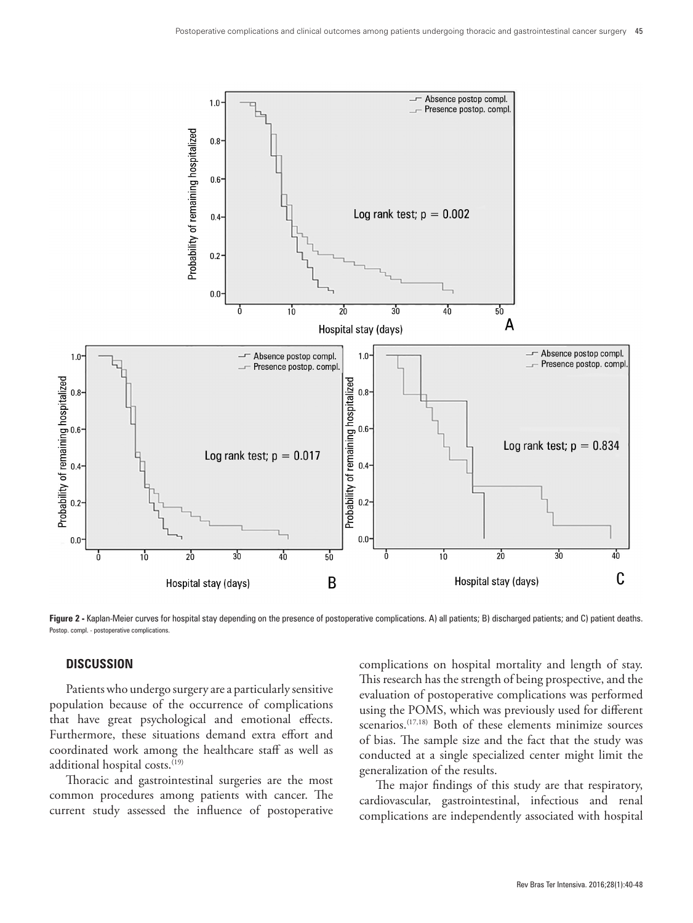

**Figure 2 -** Kaplan-Meier curves for hospital stay depending on the presence of postoperative complications. A) all patients; B) discharged patients; and C) patient deaths. Postop. compl. - postoperative complications.

#### **DISCUSSION**

Patients who undergo surgery are a particularly sensitive population because of the occurrence of complications that have great psychological and emotional effects. Furthermore, these situations demand extra effort and coordinated work among the healthcare staff as well as additional hospital costs.<sup>(19)</sup>

Thoracic and gastrointestinal surgeries are the most common procedures among patients with cancer. The current study assessed the influence of postoperative complications on hospital mortality and length of stay. This research has the strength of being prospective, and the evaluation of postoperative complications was performed using the POMS, which was previously used for different scenarios.<sup>(17,18)</sup> Both of these elements minimize sources of bias. The sample size and the fact that the study was conducted at a single specialized center might limit the generalization of the results.

The major findings of this study are that respiratory, cardiovascular, gastrointestinal, infectious and renal complications are independently associated with hospital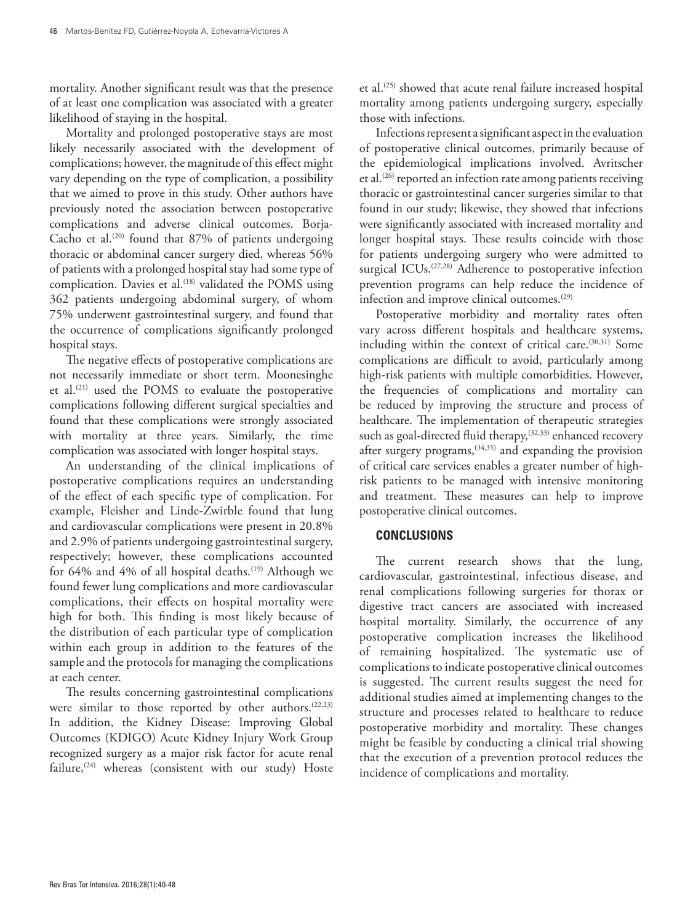mortality. Another significant result was that the presence of at least one complication was associated with a greater likelihood of staying in the hospital.

Mortality and prolonged postoperative stays are most likely necessarily associated with the development of complications; however, the magnitude of this effect might vary depending on the type of complication, a possibility that we aimed to prove in this study. Other authors have previously noted the association between postoperative complications and adverse clinical outcomes. Borja-Cacho et al.<sup> $(20)$ </sup> found that 87% of patients undergoing thoracic or abdominal cancer surgery died, whereas 56% of patients with a prolonged hospital stay had some type of complication. Davies et al.<sup>(18)</sup> validated the POMS using 362 patients undergoing abdominal surgery, of whom 75% underwent gastrointestinal surgery, and found that the occurrence of complications significantly prolonged hospital stays.

The negative effects of postoperative complications are not necessarily immediate or short term. Moonesinghe et al.(21) used the POMS to evaluate the postoperative complications following different surgical specialties and found that these complications were strongly associated with mortality at three years. Similarly, the time complication was associated with longer hospital stays.

An understanding of the clinical implications of postoperative complications requires an understanding of the effect of each specific type of complication. For example, Fleisher and Linde-Zwirble found that lung and cardiovascular complications were present in 20.8% and 2.9% of patients undergoing gastrointestinal surgery, respectively; however, these complications accounted for 64% and 4% of all hospital deaths.<sup>(19)</sup> Although we found fewer lung complications and more cardiovascular complications, their effects on hospital mortality were high for both. This finding is most likely because of the distribution of each particular type of complication within each group in addition to the features of the sample and the protocols for managing the complications at each center.

The results concerning gastrointestinal complications were similar to those reported by other authors.<sup>(22,23)</sup> In addition, the Kidney Disease: Improving Global Outcomes (KDIGO) Acute Kidney Injury Work Group recognized surgery as a major risk factor for acute renal failure,  $(24)$  whereas (consistent with our study) Hoste et al.<sup>(25)</sup> showed that acute renal failure increased hospital mortality among patients undergoing surgery, especially those with infections.

Infections represent a significant aspect in the evaluation of postoperative clinical outcomes, primarily because of the epidemiological implications involved. Avritscher et al.<sup>(26)</sup> reported an infection rate among patients receiving thoracic or gastrointestinal cancer surgeries similar to that found in our study; likewise, they showed that infections were significantly associated with increased mortality and longer hospital stays. These results coincide with those for patients undergoing surgery who were admitted to surgical ICUs.<sup>(27,28)</sup> Adherence to postoperative infection prevention programs can help reduce the incidence of infection and improve clinical outcomes.<sup>(29)</sup>

Postoperative morbidity and mortality rates often vary across different hospitals and healthcare systems, including within the context of critical care.<sup>(30,31)</sup> Some complications are difficult to avoid, particularly among high-risk patients with multiple comorbidities. However, the frequencies of complications and mortality can be reduced by improving the structure and process of healthcare. The implementation of therapeutic strategies such as goal-directed fluid therapy,  $(32,33)$  enhanced recovery after surgery programs,  $(34,35)$  and expanding the provision of critical care services enables a greater number of highrisk patients to be managed with intensive monitoring and treatment. These measures can help to improve postoperative clinical outcomes.

# **CONCLUSIONS**

The current research shows that the lung, cardiovascular, gastrointestinal, infectious disease, and renal complications following surgeries for thorax or digestive tract cancers are associated with increased hospital mortality. Similarly, the occurrence of any postoperative complication increases the likelihood of remaining hospitalized. The systematic use of complications to indicate postoperative clinical outcomes is suggested. The current results suggest the need for additional studies aimed at implementing changes to the structure and processes related to healthcare to reduce postoperative morbidity and mortality. These changes might be feasible by conducting a clinical trial showing that the execution of a prevention protocol reduces the incidence of complications and mortality.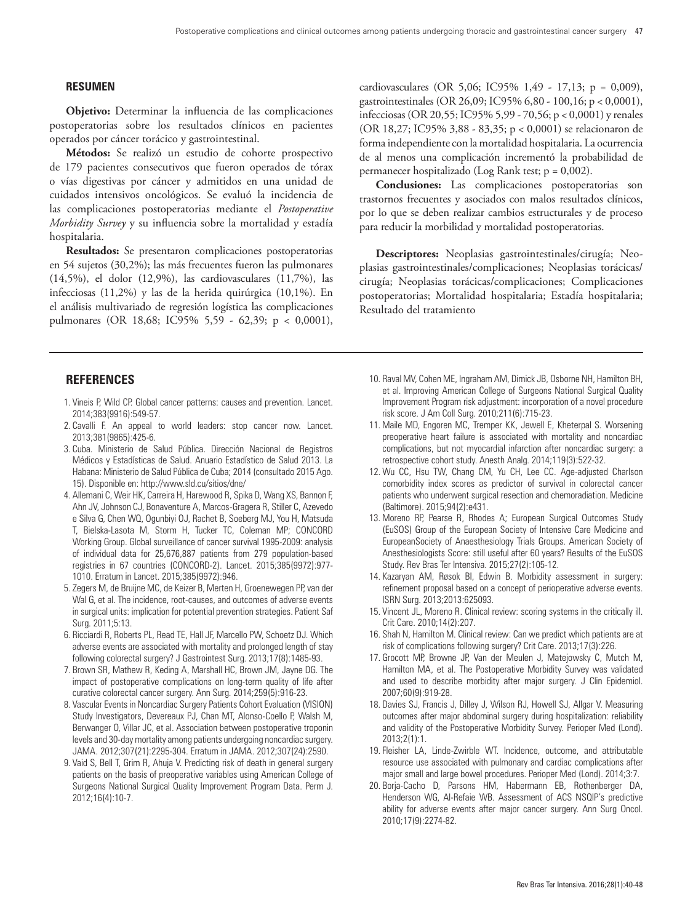#### **RESUMEN**

**Objetivo:** Determinar la influencia de las complicaciones postoperatorias sobre los resultados clínicos en pacientes operados por cáncer torácico y gastrointestinal.

**Métodos:** Se realizó un estudio de cohorte prospectivo de 179 pacientes consecutivos que fueron operados de tórax o vías digestivas por cáncer y admitidos en una unidad de cuidados intensivos oncológicos. Se evaluó la incidencia de las complicaciones postoperatorias mediante el *Postoperative Morbidity Survey* y su influencia sobre la mortalidad y estadía hospitalaria.

**Resultados:** Se presentaron complicaciones postoperatorias en 54 sujetos (30,2%); las más frecuentes fueron las pulmonares (14,5%), el dolor (12,9%), las cardiovasculares (11,7%), las infecciosas (11,2%) y las de la herida quirúrgica (10,1%). En el análisis multivariado de regresión logística las complicaciones pulmonares (OR 18,68; IC95% 5,59 - 62,39; p < 0,0001),

# **REFERENCES**

- 1. Vineis P, Wild CP. Global cancer patterns: causes and prevention. Lancet. 2014;383(9916):549-57.
- 2. Cavalli F. An appeal to world leaders: stop cancer now. Lancet. 2013;381(9865):425-6.
- 3. Cuba. Ministerio de Salud Pública. Dirección Nacional de Registros Médicos y Estadísticas de Salud. Anuario Estadístico de Salud 2013. La Habana: Ministerio de Salud Pública de Cuba; 2014 (consultado 2015 Ago. 15). Disponible en: http://www.sld.cu/sitios/dne/
- 4. Allemani C, Weir HK, Carreira H, Harewood R, Spika D, Wang XS, Bannon F, Ahn JV, Johnson CJ, Bonaventure A, Marcos-Gragera R, Stiller C, Azevedo e Silva G, Chen WQ, Ogunbiyi OJ, Rachet B, Soeberg MJ, You H, Matsuda T, Bielska-Lasota M, Storm H, Tucker TC, Coleman MP; CONCORD Working Group. Global surveillance of cancer survival 1995-2009: analysis of individual data for 25,676,887 patients from 279 population-based registries in 67 countries (CONCORD-2). Lancet. 2015;385(9972):977- 1010. Erratum in Lancet. 2015;385(9972):946.
- 5. Zegers M, de Bruijne MC, de Keizer B, Merten H, Groenewegen PP, van der Wal G, et al. The incidence, root-causes, and outcomes of adverse events in surgical units: implication for potential prevention strategies. Patient Saf Surg. 2011;5:13.
- 6. Ricciardi R, Roberts PL, Read TE, Hall JF, Marcello PW, Schoetz DJ. Which adverse events are associated with mortality and prolonged length of stay following colorectal surgery? J Gastrointest Surg. 2013;17(8):1485-93.
- 7. Brown SR, Mathew R, Keding A, Marshall HC, Brown JM, Jayne DG. The impact of postoperative complications on long-term quality of life after curative colorectal cancer surgery. Ann Surg. 2014;259(5):916-23.
- 8. Vascular Events in Noncardiac Surgery Patients Cohort Evaluation (VISION) Study Investigators, Devereaux PJ, Chan MT, Alonso-Coello P, Walsh M, Berwanger O, Villar JC, et al. Association between postoperative troponin levels and 30-day mortality among patients undergoing noncardiac surgery. JAMA. 2012;307(21):2295-304. Erratum in JAMA. 2012;307(24):2590.
- 9. Vaid S, Bell T, Grim R, Ahuja V. Predicting risk of death in general surgery patients on the basis of preoperative variables using American College of Surgeons National Surgical Quality Improvement Program Data. Perm J. 2012;16(4):10-7.

cardiovasculares (OR 5,06; IC95% 1,49 - 17,13; p = 0,009), gastrointestinales (OR 26,09; IC95% 6,80 - 100,16; p < 0,0001), infecciosas (OR 20,55; IC95% 5,99 - 70,56; p < 0,0001) y renales (OR 18,27; IC95% 3,88 - 83,35; p < 0,0001) se relacionaron de forma independiente con la mortalidad hospitalaria. La ocurrencia de al menos una complicación incrementó la probabilidad de permanecer hospitalizado (Log Rank test; p = 0,002).

**Conclusiones:** Las complicaciones postoperatorias son trastornos frecuentes y asociados con malos resultados clínicos, por lo que se deben realizar cambios estructurales y de proceso para reducir la morbilidad y mortalidad postoperatorias.

**Descriptores:** Neoplasias gastrointestinales/cirugía; Neoplasias gastrointestinales/complicaciones; Neoplasias torácicas/ cirugía; Neoplasias torácicas/complicaciones; Complicaciones postoperatorias; Mortalidad hospitalaria; Estadía hospitalaria; Resultado del tratamiento

- 10. Raval MV, Cohen ME, Ingraham AM, Dimick JB, Osborne NH, Hamilton BH, et al. Improving American College of Surgeons National Surgical Quality Improvement Program risk adjustment: incorporation of a novel procedure risk score. J Am Coll Surg. 2010;211(6):715-23.
- 11. Maile MD, Engoren MC, Tremper KK, Jewell E, Kheterpal S. Worsening preoperative heart failure is associated with mortality and noncardiac complications, but not myocardial infarction after noncardiac surgery: a retrospective cohort study. Anesth Analg. 2014;119(3):522-32.
- 12. Wu CC, Hsu TW, Chang CM, Yu CH, Lee CC. Age-adjusted Charlson comorbidity index scores as predictor of survival in colorectal cancer patients who underwent surgical resection and chemoradiation. Medicine (Baltimore). 2015;94(2):e431.
- 13. Moreno RP, Pearse R, Rhodes A; European Surgical Outcomes Study (EuSOS) Group of the European Society of Intensive Care Medicine and EuropeanSociety of Anaesthesiology Trials Groups. American Society of Anesthesiologists Score: still useful after 60 years? Results of the EuSOS Study. Rev Bras Ter Intensiva. 2015;27(2):105-12.
- 14. Kazaryan AM, Røsok BI, Edwin B. Morbidity assessment in surgery: refinement proposal based on a concept of perioperative adverse events. ISRN Surg. 2013;2013:625093.
- 15. Vincent JL, Moreno R. Clinical review: scoring systems in the critically ill. Crit Care. 2010;14(2):207.
- 16. Shah N, Hamilton M. Clinical review: Can we predict which patients are at risk of complications following surgery? Crit Care. 2013;17(3):226.
- 17. Grocott MP, Browne JP, Van der Meulen J, Matejowsky C, Mutch M, Hamilton MA, et al. The Postoperative Morbidity Survey was validated and used to describe morbidity after major surgery. J Clin Epidemiol. 2007;60(9):919-28.
- 18. Davies SJ, Francis J, Dilley J, Wilson RJ, Howell SJ, Allgar V. Measuring outcomes after major abdominal surgery during hospitalization: reliability and validity of the Postoperative Morbidity Survey. Perioper Med (Lond). 2013;2(1):1.
- 19.Fleisher LA, Linde-Zwirble WT. Incidence, outcome, and attributable resource use associated with pulmonary and cardiac complications after major small and large bowel procedures. Perioper Med (Lond). 2014;3:7.
- 20. Borja-Cacho D, Parsons HM, Habermann EB, Rothenberger DA, Henderson WG, Al-Refaie WB. Assessment of ACS NSQIP's predictive ability for adverse events after major cancer surgery. Ann Surg Oncol. 2010;17(9):2274-82.